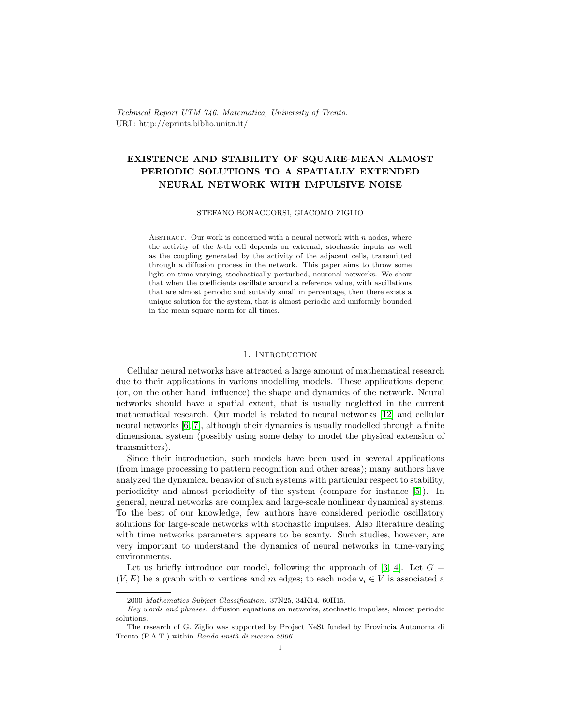Technical Report UTM 746, Matematica, University of Trento. URL: http://eprints.biblio.unitn.it/

# EXISTENCE AND STABILITY OF SQUARE-MEAN ALMOST PERIODIC SOLUTIONS TO A SPATIALLY EXTENDED NEURAL NETWORK WITH IMPULSIVE NOISE

#### STEFANO BONACCORSI, GIACOMO ZIGLIO

ABSTRACT. Our work is concerned with a neural network with  $n$  nodes, where the activity of the  $k$ -th cell depends on external, stochastic inputs as well as the coupling generated by the activity of the adjacent cells, transmitted through a diffusion process in the network. This paper aims to throw some light on time-varying, stochastically perturbed, neuronal networks. We show that when the coefficients oscillate around a reference value, with ascillations that are almost periodic and suitably small in percentage, then there exists a unique solution for the system, that is almost periodic and uniformly bounded in the mean square norm for all times.

#### 1. INTRODUCTION

Cellular neural networks have attracted a large amount of mathematical research due to their applications in various modelling models. These applications depend (or, on the other hand, influence) the shape and dynamics of the network. Neural networks should have a spatial extent, that is usually negletted in the current mathematical research. Our model is related to neural networks [\[12\]](#page-14-0) and cellular neural networks [\[6,](#page-14-1) [7\]](#page-14-2), although their dynamics is usually modelled through a finite dimensional system (possibly using some delay to model the physical extension of transmitters).

Since their introduction, such models have been used in several applications (from image processing to pattern recognition and other areas); many authors have analyzed the dynamical behavior of such systems with particular respect to stability, periodicity and almost periodicity of the system (compare for instance [\[5\]](#page-14-3)). In general, neural networks are complex and large-scale nonlinear dynamical systems. To the best of our knowledge, few authors have considered periodic oscillatory solutions for large-scale networks with stochastic impulses. Also literature dealing with time networks parameters appears to be scanty. Such studies, however, are very important to understand the dynamics of neural networks in time-varying environments.

Let us briefly introduce our model, following the approach of [\[3,](#page-13-0) [4\]](#page-13-1). Let  $G =$  $(V, E)$  be a graph with n vertices and m edges; to each node  $v_i \in V$  is associated a

<sup>2000</sup> Mathematics Subject Classification. 37N25, 34K14, 60H15.

Key words and phrases. diffusion equations on networks, stochastic impulses, almost periodic solutions.

The research of G. Ziglio was supported by Project NeSt funded by Provincia Autonoma di Trento (P.A.T.) within Bando unità di ricerca 2006.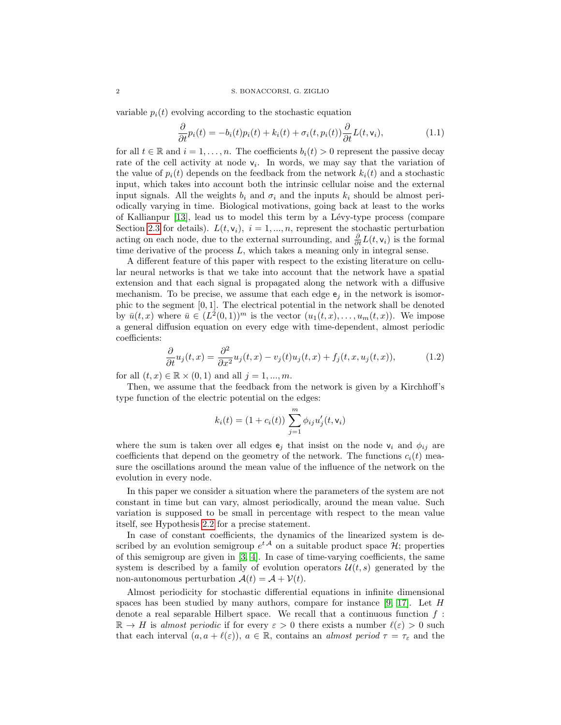variable  $p_i(t)$  evolving according to the stochastic equation

<span id="page-1-0"></span>
$$
\frac{\partial}{\partial t}p_i(t) = -b_i(t)p_i(t) + k_i(t) + \sigma_i(t, p_i(t))\frac{\partial}{\partial t}L(t, \mathbf{v}_i),\tag{1.1}
$$

for all  $t \in \mathbb{R}$  and  $i = 1, \ldots, n$ . The coefficients  $b_i(t) > 0$  represent the passive decay rate of the cell activity at node  $v_i$ . In words, we may say that the variation of the value of  $p_i(t)$  depends on the feedback from the network  $k_i(t)$  and a stochastic input, which takes into account both the intrinsic cellular noise and the external input signals. All the weights  $b_i$  and  $\sigma_i$  and the inputs  $k_i$  should be almost periodically varying in time. Biological motivations, going back at least to the works of Kallianpur  $[13]$ , lead us to model this term by a Lévy-type process (compare Section [2.3](#page-6-0) for details).  $L(t, v_i)$ ,  $i = 1, ..., n$ , represent the stochastic perturbation acting on each node, due to the external surrounding, and  $\frac{\partial}{\partial t}L(t, \mathsf{v}_i)$  is the formal time derivative of the process  $L$ , which takes a meaning only in integral sense.

A different feature of this paper with respect to the existing literature on cellular neural networks is that we take into account that the network have a spatial extension and that each signal is propagated along the network with a diffusive mechanism. To be precise, we assume that each edge  $e_j$  in the network is isomorphic to the segment  $[0, 1]$ . The electrical potential in the network shall be denoted by  $\bar{u}(t,x)$  where  $\bar{u} \in (L^2(0,1))^m$  is the vector  $(u_1(t,x),\ldots,u_m(t,x))$ . We impose a general diffusion equation on every edge with time-dependent, almost periodic coefficients:

$$
\frac{\partial}{\partial t}u_j(t,x) = \frac{\partial^2}{\partial x^2}u_j(t,x) - v_j(t)u_j(t,x) + f_j(t,x,u_j(t,x)),\tag{1.2}
$$

for all  $(t, x) \in \mathbb{R} \times (0, 1)$  and all  $j = 1, ..., m$ .

Then, we assume that the feedback from the network is given by a Kirchhoff's type function of the electric potential on the edges:

<span id="page-1-1"></span>
$$
k_i(t) = (1 + c_i(t)) \sum_{j=1}^{m} \phi_{ij} u'_j(t, v_i)
$$

where the sum is taken over all edges  $e_j$  that insist on the node  $v_i$  and  $\phi_{ij}$  are coefficients that depend on the geometry of the network. The functions  $c_i(t)$  measure the oscillations around the mean value of the influence of the network on the evolution in every node.

In this paper we consider a situation where the parameters of the system are not constant in time but can vary, almost periodically, around the mean value. Such variation is supposed to be small in percentage with respect to the mean value itself, see Hypothesis [2.2](#page-5-0) for a precise statement.

In case of constant coefficients, the dynamics of the linearized system is described by an evolution semigroup  $e^{tA}$  on a suitable product space  $\mathcal{H}$ ; properties of this semigroup are given in [\[3,](#page-13-0) [4\]](#page-13-1). In case of time-varying coefficients, the same system is described by a family of evolution operators  $\mathcal{U}(t, s)$  generated by the non-autonomous perturbation  $\mathcal{A}(t) = \mathcal{A} + \mathcal{V}(t)$ .

Almost periodicity for stochastic differential equations in infinite dimensional spaces has been studied by many authors, compare for instance  $[9, 17]$  $[9, 17]$ . Let H denote a real separable Hilbert space. We recall that a continuous function  $f$ :  $\mathbb{R} \to H$  is almost periodic if for every  $\varepsilon > 0$  there exists a number  $\ell(\varepsilon) > 0$  such that each interval  $(a, a + \ell(\varepsilon))$ ,  $a \in \mathbb{R}$ , contains an *almost period*  $\tau = \tau_{\varepsilon}$  and the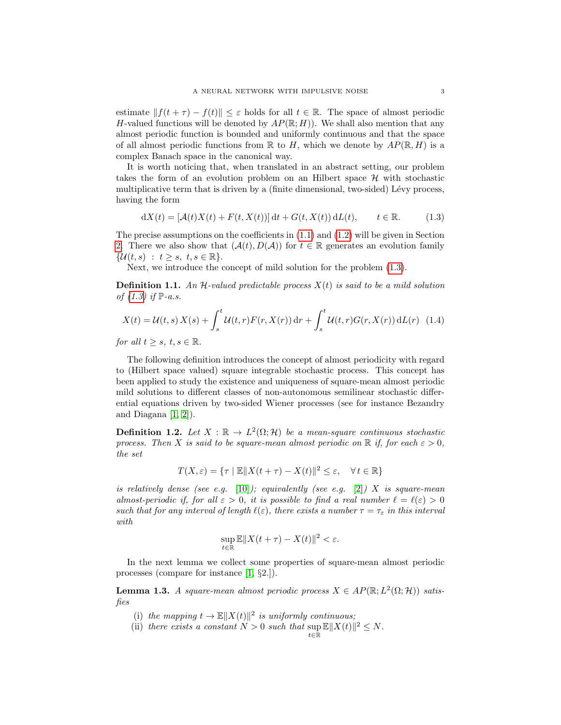estimate  $|| f(t + \tau) - f(t) || \leq \varepsilon$  holds for all  $t \in \mathbb{R}$ . The space of almost periodic H-valued functions will be denoted by  $AP(\mathbb{R}; H)$ . We shall also mention that any almost periodic function is bounded and uniformly continuous and that the space of all almost periodic functions from  $\mathbb R$  to H, which we denote by  $AP(\mathbb R, H)$  is a complex Banach space in the canonical way.

It is worth noticing that, when translated in an abstract setting, our problem takes the form of an evolution problem on an Hilbert space  $\mathcal H$  with stochastic multiplicative term that is driven by a (finite dimensional, two-sided) Lévy process, having the form

<span id="page-2-0"></span>
$$
dX(t) = [\mathcal{A}(t)X(t) + F(t, X(t))]dt + G(t, X(t))dL(t), \qquad t \in \mathbb{R}.
$$
 (1.3)

The precise assumptions on the coefficients in  $(1.1)$  and  $(1.2)$  will be given in Section [2.](#page-3-0) There we also show that  $(\mathcal{A}(t), D(\mathcal{A}))$  for  $t \in \mathbb{R}$  generates an evolution family  $\{\mathcal{U}(t,s) : t \geq s, t, s \in \mathbb{R}\}.$ 

Next, we introduce the concept of mild solution for the problem [\(1.3\)](#page-2-0).

**Definition 1.1.** An H-valued predictable process  $X(t)$  is said to be a mild solution of  $(1.3)$  if  $\mathbb{P}\text{-}a.s.$ 

$$
X(t) = \mathcal{U}(t, s) X(s) + \int_{s}^{t} \mathcal{U}(t, r) F(r, X(r)) dr + \int_{s}^{t} \mathcal{U}(t, r) G(r, X(r)) dL(r) \tag{1.4}
$$

for all  $t \geq s$ ,  $t, s \in \mathbb{R}$ .

The following definition introduces the concept of almost periodicity with regard to (Hilbert space valued) square integrable stochastic process. This concept has been applied to study the existence and uniqueness of square-mean almost periodic mild solutions to different classes of non-autonomous semilinear stochastic differential equations driven by two-sided Wiener processes (see for instance Bezandry and Diagana  $[1, 2]$  $[1, 2]$ .

**Definition 1.2.** Let  $X : \mathbb{R} \to L^2(\Omega; \mathcal{H})$  be a mean-square continuous stochastic process. Then X is said to be square-mean almost periodic on  $\mathbb R$  if, for each  $\varepsilon > 0$ , the set

$$
T(X,\varepsilon) = \{\tau \mid \mathbb{E} \| X(t+\tau) - X(t) \|^2 \le \varepsilon, \quad \forall \, t \in \mathbb{R} \}
$$

is relatively dense (see e.g. [\[10\]](#page-14-7)); equivalently (see e.g. [\[2\]](#page-13-3)) X is square-mean almost-periodic if, for all  $\varepsilon > 0$ , it is possible to find a real number  $\ell = \ell(\varepsilon) > 0$ such that for any interval of length  $\ell(\varepsilon)$ , there exists a number  $\tau = \tau_{\varepsilon}$  in this interval with

$$
\sup_{t\in\mathbb{R}}\mathbb{E}\|X(t+\tau)-X(t)\|^2<\varepsilon.
$$

In the next lemma we collect some properties of square-mean almost periodic processes (compare for instance [\[1,](#page-13-2) §2.]).

<span id="page-2-1"></span>**Lemma 1.3.** A square-mean almost periodic process  $X \in AP(\mathbb{R}; L^2(\Omega; \mathcal{H}))$  satisfies

- (i) the mapping  $t \to \mathbb{E} ||X(t)||^2$  is uniformly continuous;
- (ii) there exists a constant  $N > 0$  such that  $\sup \mathbb{E} ||X(t)||^2 \leq N$ .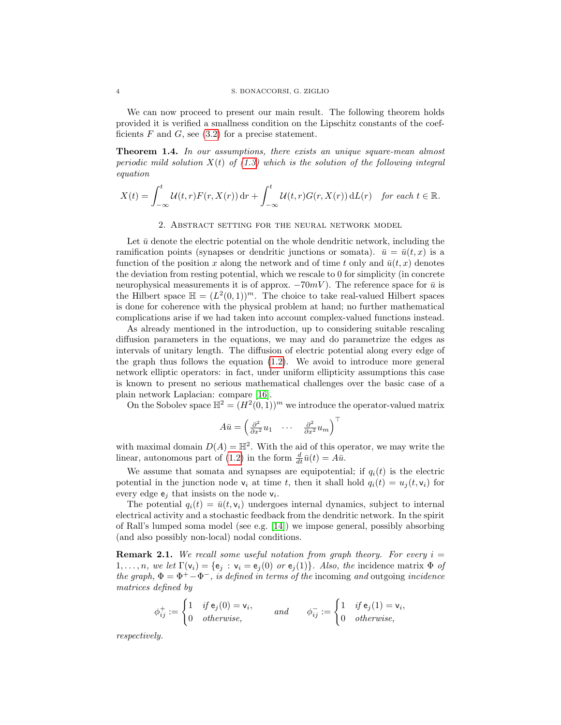We can now proceed to present our main result. The following theorem holds provided it is verified a smallness condition on the Lipschitz constants of the coefficients  $F$  and  $G$ , see [\(3.2\)](#page-9-0) for a precise statement.

Theorem 1.4. In our assumptions, there exists an unique square-mean almost periodic mild solution  $X(t)$  of [\(1.3\)](#page-2-0) which is the solution of the following integral equation

$$
X(t) = \int_{-\infty}^{t} \mathcal{U}(t, r) F(r, X(r)) dr + \int_{-\infty}^{t} \mathcal{U}(t, r) G(r, X(r)) dL(r) \quad \text{for each } t \in \mathbb{R}.
$$

# 2. Abstract setting for the neural network model

<span id="page-3-0"></span>Let  $\bar{u}$  denote the electric potential on the whole dendritic network, including the ramification points (synapses or dendritic junctions or somata).  $\bar{u} = \bar{u}(t, x)$  is a function of the position x along the network and of time t only and  $\bar{u}(t, x)$  denotes the deviation from resting potential, which we rescale to 0 for simplicity (in concrete neurophysical measurements it is of approx.  $-70mV$ . The reference space for  $\bar{u}$  is the Hilbert space  $\mathbb{H} = (L^2(0,1))^m$ . The choice to take real-valued Hilbert spaces is done for coherence with the physical problem at hand; no further mathematical complications arise if we had taken into account complex-valued functions instead.

As already mentioned in the introduction, up to considering suitable rescaling diffusion parameters in the equations, we may and do parametrize the edges as intervals of unitary length. The diffusion of electric potential along every edge of the graph thus follows the equation [\(1.2\)](#page-1-1). We avoid to introduce more general network elliptic operators: in fact, under uniform ellipticity assumptions this case is known to present no serious mathematical challenges over the basic case of a plain network Laplacian: compare [\[16\]](#page-14-8).

On the Sobolev space  $\mathbb{H}^2 = (H^2(0, 1))^m$  we introduce the operator-valued matrix

$$
A\bar{u} = \begin{pmatrix} \frac{\partial^2}{\partial x^2} u_1 & \cdots & \frac{\partial^2}{\partial x^2} u_m \end{pmatrix}^\top
$$

with maximal domain  $D(A) = \mathbb{H}^2$ . With the aid of this operator, we may write the linear, autonomous part of [\(1.2\)](#page-1-1) in the form  $\frac{d}{dt}\bar{u}(t) = A\bar{u}$ .

We assume that somata and synapses are equipotential; if  $q_i(t)$  is the electric potential in the junction node  $v_i$  at time t, then it shall hold  $q_i(t) = u_j(t, v_i)$  for every edge  $e_j$  that insists on the node  $v_i$ .

The potential  $q_i(t) = \bar{u}(t, v_i)$  undergoes internal dynamics, subject to internal electrical activity and a stochastic feedback from the dendritic network. In the spirit of Rall's lumped soma model (see e.g. [\[14\]](#page-14-9)) we impose general, possibly absorbing (and also possibly non-local) nodal conditions.

**Remark 2.1.** We recall some useful notation from graph theory. For every  $i =$  $1, \ldots, n$ , we let  $\Gamma(\mathsf{v}_i) = \{\mathsf{e}_j : \mathsf{v}_i = \mathsf{e}_j(0) \text{ or } \mathsf{e}_j(1)\}\$ . Also, the incidence matrix  $\Phi$  of the graph,  $\Phi = \Phi^+ - \Phi^-$ , is defined in terms of the incoming and outgoing incidence matrices defined by

$$
\phi_{ij}^+ := \begin{cases} 1 & \text{if } \mathbf{e}_j(0) = \mathbf{v}_i, \\ 0 & \text{otherwise,} \end{cases} \quad \text{and} \quad \phi_{ij}^- := \begin{cases} 1 & \text{if } \mathbf{e}_j(1) = \mathbf{v}_i, \\ 0 & \text{otherwise,} \end{cases}
$$

respectively.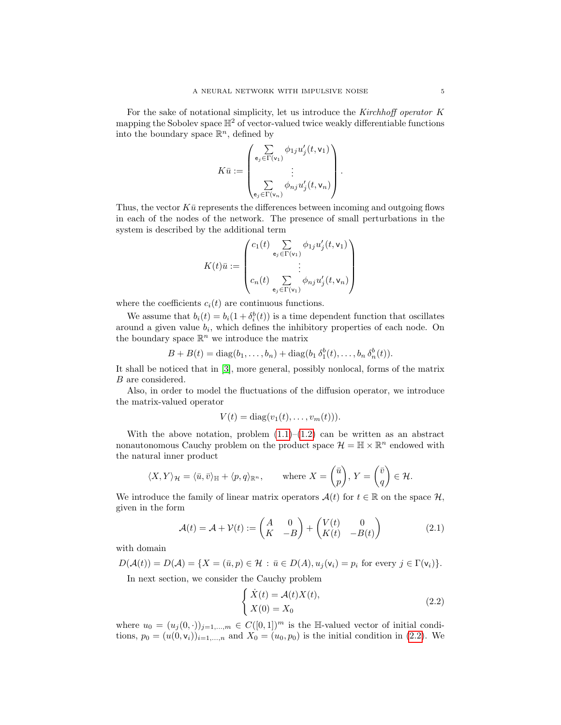For the sake of notational simplicity, let us introduce the Kirchhoff operator K mapping the Sobolev space  $\mathbb{H}^2$  of vector-valued twice weakly differentiable functions into the boundary space  $\mathbb{R}^n$ , defined by

$$
K\bar{u} := \begin{pmatrix} \sum_{\mathbf{e}_j \in \Gamma(\mathbf{v}_1)} \phi_{1j} u'_j(t, \mathbf{v}_1) \\ \vdots \\ \sum_{\mathbf{e}_j \in \Gamma(\mathbf{v}_n)} \phi_{nj} u'_j(t, \mathbf{v}_n) \end{pmatrix}.
$$

Thus, the vector  $K\bar{u}$  represents the differences between incoming and outgoing flows in each of the nodes of the network. The presence of small perturbations in the system is described by the additional term

$$
K(t)\bar{u} := \begin{pmatrix} c_1(t) \sum_{e_j \in \Gamma(\mathsf{v}_1)} \phi_{1j} u'_j(t, \mathsf{v}_1) \\ \vdots \\ c_n(t) \sum_{e_j \in \Gamma(\mathsf{v}_1)} \phi_{nj} u'_j(t, \mathsf{v}_n) \end{pmatrix}
$$

where the coefficients  $c_i(t)$  are continuous functions.

We assume that  $b_i(t) = b_i(1 + \delta_i^b(t))$  is a time dependent function that oscillates around a given value  $b_i$ , which defines the inhibitory properties of each node. On the boundary space  $\mathbb{R}^n$  we introduce the matrix

$$
B + B(t) = \text{diag}(b_1, \dots, b_n) + \text{diag}(b_1 \,\delta_1^b(t), \dots, b_n \,\delta_n^b(t)).
$$

It shall be noticed that in [\[3\]](#page-13-0), more general, possibly nonlocal, forms of the matrix B are considered.

Also, in order to model the fluctuations of the diffusion operator, we introduce the matrix-valued operator

$$
V(t) = \text{diag}(v_1(t), \dots, v_m(t))).
$$

With the above notation, problem  $(1.1)$ – $(1.2)$  can be written as an abstract nonautonomous Cauchy problem on the product space  $\mathcal{H} = \mathbb{H} \times \mathbb{R}^n$  endowed with the natural inner product

$$
\langle X, Y \rangle_{\mathcal{H}} = \langle \bar{u}, \bar{v} \rangle_{\mathbb{H}} + \langle p, q \rangle_{\mathbb{R}^n}, \quad \text{where } X = \begin{pmatrix} \bar{u} \\ p \end{pmatrix}, Y = \begin{pmatrix} \bar{v} \\ q \end{pmatrix} \in \mathcal{H}.
$$

We introduce the family of linear matrix operators  $\mathcal{A}(t)$  for  $t \in \mathbb{R}$  on the space  $\mathcal{H}$ , given in the form

$$
\mathcal{A}(t) = \mathcal{A} + \mathcal{V}(t) := \begin{pmatrix} A & 0 \\ K & -B \end{pmatrix} + \begin{pmatrix} V(t) & 0 \\ K(t) & -B(t) \end{pmatrix}
$$
(2.1)

with domain

$$
D(\mathcal{A}(t)) = D(\mathcal{A}) = \{ X = (\bar{u}, p) \in \mathcal{H} : \bar{u} \in D(\mathcal{A}), u_j(\mathsf{v}_i) = p_i \text{ for every } j \in \Gamma(\mathsf{v}_i) \}.
$$

In next section, we consider the Cauchy problem

<span id="page-4-0"></span>
$$
\begin{cases} \dot{X}(t) = \mathcal{A}(t)X(t), \\ X(0) = X_0 \end{cases}
$$
\n(2.2)

where  $u_0 = (u_j(0, \cdot))_{j=1,\dots,m} \in C([0,1])^m$  is the H-valued vector of initial conditions,  $p_0 = (u(0, v_i))_{i=1,...,n}$  and  $X_0 = (u_0, p_0)$  is the initial condition in [\(2.2\)](#page-4-0). We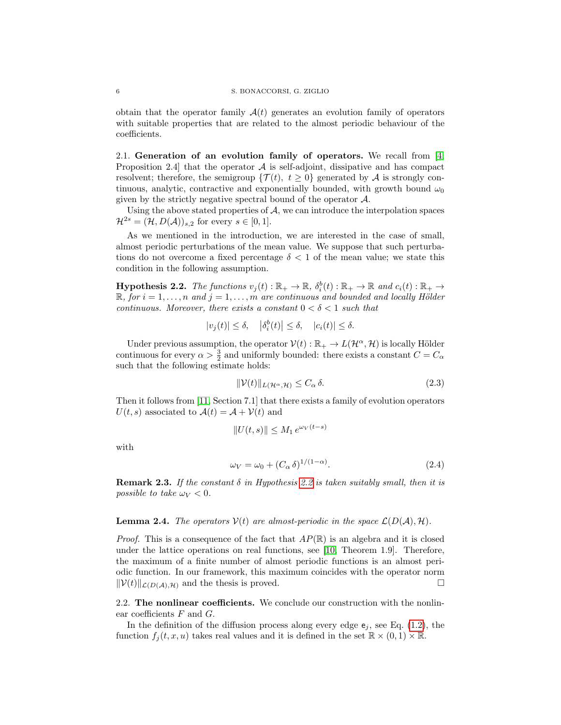obtain that the operator family  $\mathcal{A}(t)$  generates an evolution family of operators with suitable properties that are related to the almost periodic behaviour of the coefficients.

<span id="page-5-1"></span>2.1. Generation of an evolution family of operators. We recall from [\[4,](#page-13-1) Proposition 2.4 that the operator  $A$  is self-adjoint, dissipative and has compact resolvent; therefore, the semigroup  $\{\mathcal{T}(t), t \geq 0\}$  generated by A is strongly continuous, analytic, contractive and exponentially bounded, with growth bound  $\omega_0$ given by the strictly negative spectral bound of the operator  $A$ .

Using the above stated properties of  $A$ , we can introduce the interpolation spaces  $\mathcal{H}^{2s} = (\mathcal{H}, D(\mathcal{A}))_{s,2}$  for every  $s \in [0,1].$ 

As we mentioned in the introduction, we are interested in the case of small, almost periodic perturbations of the mean value. We suppose that such perturbations do not overcome a fixed percentage  $\delta < 1$  of the mean value; we state this condition in the following assumption.

<span id="page-5-0"></span>**Hypothesis 2.2.** The functions  $v_j(t): \mathbb{R}_+ \to \mathbb{R}$ ,  $\delta_i^b(t): \mathbb{R}_+ \to \mathbb{R}$  and  $c_i(t): \mathbb{R}_+ \to$  $\mathbb{R}$ , for  $i = 1, \ldots, n$  and  $j = 1, \ldots, m$  are continuous and bounded and locally Hölder continuous. Moreover, there exists a constant  $0 < \delta < 1$  such that

$$
|v_j(t)| \le \delta, \quad |\delta_i^b(t)| \le \delta, \quad |c_i(t)| \le \delta.
$$

Under previous assumption, the operator  $V(t): \mathbb{R}_+ \to L(\mathcal{H}^{\alpha}, \mathcal{H})$  is locally Hölder continuous for every  $\alpha > \frac{3}{2}$  and uniformly bounded: there exists a constant  $C = C_{\alpha}$ such that the following estimate holds:

$$
\|\mathcal{V}(t)\|_{L(\mathcal{H}^{\alpha},\mathcal{H})} \le C_{\alpha} \delta. \tag{2.3}
$$

Then it follows from [\[11,](#page-14-10) Section 7.1] that there exists a family of evolution operators  $U(t, s)$  associated to  $\mathcal{A}(t) = \mathcal{A} + \mathcal{V}(t)$  and

$$
||U(t,s)|| \le M_1 e^{\omega_V(t-s)}
$$

with

$$
\omega_V = \omega_0 + (C_\alpha \delta)^{1/(1-\alpha)}.
$$
\n(2.4)

**Remark 2.3.** If the constant  $\delta$  in Hypothesis [2.2](#page-5-0) is taken suitably small, then it is possible to take  $\omega_V < 0$ .

## **Lemma 2.4.** The operators  $V(t)$  are almost-periodic in the space  $\mathcal{L}(D(\mathcal{A}), \mathcal{H})$ .

*Proof.* This is a consequence of the fact that  $AP(\mathbb{R})$  is an algebra and it is closed under the lattice operations on real functions, see [\[10,](#page-14-7) Theorem 1.9]. Therefore, the maximum of a finite number of almost periodic functions is an almost periodic function. In our framework, this maximum coincides with the operator norm  $\|\mathcal{V}(t)\|_{\mathcal{L}(D(\mathcal{A}),\mathcal{H})}$  and the thesis is proved.

2.2. The nonlinear coefficients. We conclude our construction with the nonlinear coefficients  $F$  and  $G$ .

In the definition of the diffusion process along every edge  $e_j$ , see Eq. [\(1.2\)](#page-1-1), the function  $f_i(t, x, u)$  takes real values and it is defined in the set  $\mathbb{R} \times (0, 1) \times \mathbb{R}$ .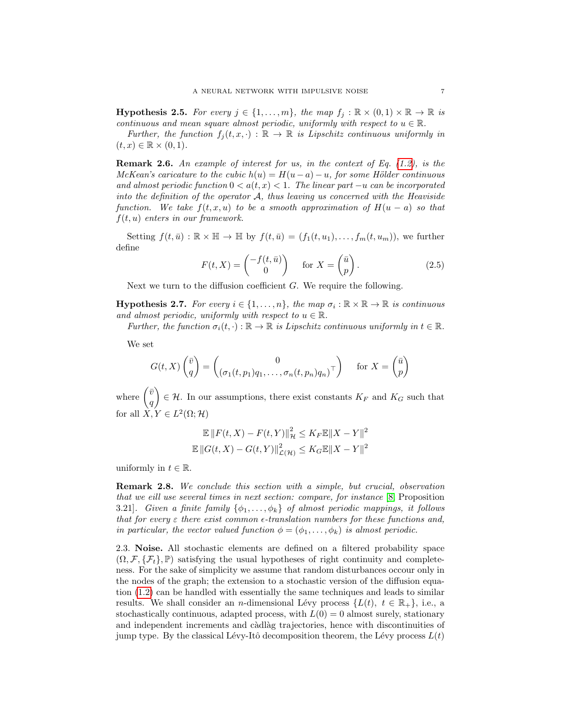**Hypothesis 2.5.** For every  $j \in \{1, ..., m\}$ , the map  $f_j : \mathbb{R} \times (0, 1) \times \mathbb{R} \to \mathbb{R}$  is continuous and mean square almost periodic, uniformly with respect to  $u \in \mathbb{R}$ .

Further, the function  $f_j(t, x, \cdot) : \mathbb{R} \to \mathbb{R}$  is Lipschitz continuous uniformly in  $(t, x) \in \mathbb{R} \times (0, 1).$ 

**Remark 2.6.** An example of interest for us, in the context of Eq.  $(1.2)$ , is the McKean's caricature to the cubic  $h(u) = H(u - a) - u$ , for some Hölder continuous and almost periodic function  $0 < a(t, x) < 1$ . The linear part  $-u$  can be incorporated into the definition of the operator  $A$ , thus leaving us concerned with the Heaviside function. We take  $f(t, x, u)$  to be a smooth approximation of  $H(u - a)$  so that  $f(t, u)$  enters in our framework.

Setting  $f(t,\bar{u}): \mathbb{R} \times \mathbb{H} \to \mathbb{H}$  by  $f(t,\bar{u}) = (f_1(t,u_1), \ldots, f_m(t,u_m)),$  we further define

$$
F(t, X) = \begin{pmatrix} -f(t, \bar{u}) \\ 0 \end{pmatrix} \quad \text{for } X = \begin{pmatrix} \bar{u} \\ p \end{pmatrix}.
$$
 (2.5)

Next we turn to the diffusion coefficient  $G$ . We require the following.

**Hypothesis 2.7.** For every  $i \in \{1, ..., n\}$ , the map  $\sigma_i : \mathbb{R} \times \mathbb{R} \to \mathbb{R}$  is continuous and almost periodic, uniformly with respect to  $u \in \mathbb{R}$ .

Further, the function  $\sigma_i(t, \cdot) : \mathbb{R} \to \mathbb{R}$  is Lipschitz continuous uniformly in  $t \in \mathbb{R}$ .

We set

$$
G(t, X) \begin{pmatrix} \bar{v} \\ q \end{pmatrix} = \begin{pmatrix} 0 \\ (\sigma_1(t, p_1)q_1, \dots, \sigma_n(t, p_n)q_n)^\top \end{pmatrix} \quad \text{for } X = \begin{pmatrix} \bar{u} \\ p \end{pmatrix}
$$

where  $\begin{pmatrix} \bar{v} & \bar{v} \\ 0 & \bar{v} \end{pmatrix}$ q  $\Big\} \in \mathcal{H}$ . In our assumptions, there exist constants  $K_F$  and  $K_G$  such that for all  $X, Y \in L^2(\Omega; \mathcal{H})$ 

$$
\mathbb{E} \|F(t, X) - F(t, Y)\|_{\mathcal{H}}^2 \le K_F \mathbb{E} \|X - Y\|^2
$$
  

$$
\mathbb{E} \|G(t, X) - G(t, Y)\|_{\mathcal{L}(\mathcal{H})}^2 \le K_G \mathbb{E} \|X - Y\|^2
$$

uniformly in  $t \in \mathbb{R}$ .

**Remark 2.8.** We conclude this section with a simple, but crucial, observation that we eill use several times in next section: compare, for instance [\[8,](#page-14-11) Proposition 3.21]. Given a finite family  $\{\phi_1,\ldots,\phi_k\}$  of almost periodic mappings, it follows that for every  $\varepsilon$  there exist common  $\epsilon$ -translation numbers for these functions and, in particular, the vector valued function  $\phi = (\phi_1, \ldots, \phi_k)$  is almost periodic.

<span id="page-6-0"></span>2.3. Noise. All stochastic elements are defined on a filtered probability space  $(\Omega, \mathcal{F}, \{\mathcal{F}_t\}, \mathbb{P})$  satisfying the usual hypotheses of right continuity and completeness. For the sake of simplicity we assume that random disturbances occour only in the nodes of the graph; the extension to a stochastic version of the diffusion equation [\(1.2\)](#page-1-1) can be handled with essentially the same techniques and leads to similar results. We shall consider an n-dimensional Lévy process  $\{L(t), t \in \mathbb{R}_+\}$ , i.e., a stochastically continuous, adapted process, with  $L(0) = 0$  almost surely, stationary and independent increments and càdlàg trajectories, hence with discontinuities of jump type. By the classical Lévy-Itô decomposition theorem, the Lévy process  $L(t)$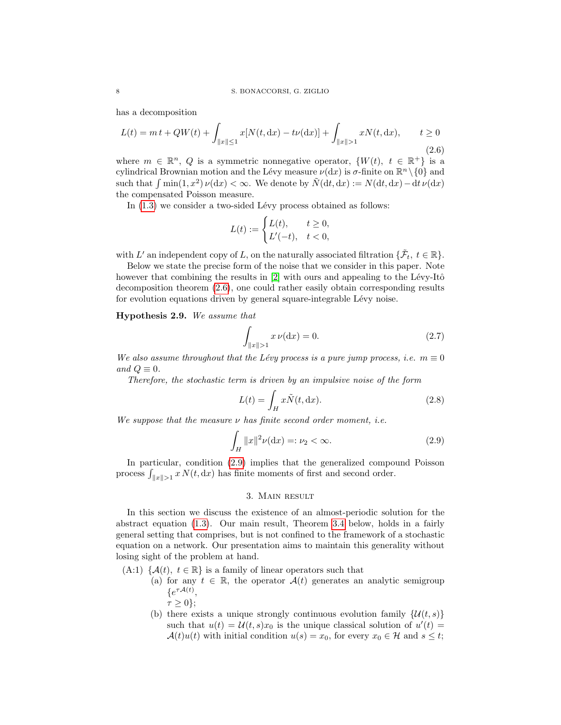has a decomposition

<span id="page-7-0"></span>
$$
L(t) = mt + QW(t) + \int_{\|x\| \le 1} x[N(t, dx) - t\nu(dx)] + \int_{\|x\| > 1} xN(t, dx), \qquad t \ge 0
$$
\n(2.6)

where  $m \in \mathbb{R}^n$ , Q is a symmetric nonnegative operator,  $\{W(t), t \in \mathbb{R}^+\}$  is a cylindrical Brownian motion and the Lévy measure  $\nu(dx)$  is  $\sigma$ -finite on  $\mathbb{R}^n \setminus \{0\}$  and such that  $\int \min(1, x^2) \nu(dx) < \infty$ . We denote by  $\tilde{N}(dt, dx) := N(dt, dx) - dt \nu(dx)$ the compensated Poisson measure.

In  $(1.3)$  we consider a two-sided Lévy process obtained as follows:

$$
L(t) := \begin{cases} L(t), & t \ge 0, \\ L'(-t), & t < 0, \end{cases}
$$

with L' an independent copy of L, on the naturally associated filtration  $\{\tilde{\mathcal{F}}_t, t \in \mathbb{R}\}.$ 

Below we state the precise form of the noise that we consider in this paper. Note however that combining the results in  $[2]$  with ours and appealing to the Lévy-Itô decomposition theorem [\(2.6\)](#page-7-0), one could rather easily obtain corresponding results for evolution equations driven by general square-integrable Lévy noise.

Hypothesis 2.9. We assume that

$$
\int_{\|x\|>1} x \,\nu(\mathrm{d}x) = 0. \tag{2.7}
$$

We also assume throughout that the Lévy process is a pure jump process, i.e.  $m \equiv 0$ and  $Q \equiv 0$ .

Therefore, the stochastic term is driven by an impulsive noise of the form

$$
L(t) = \int_{H} x\tilde{N}(t, dx). \tag{2.8}
$$

We suppose that the measure  $\nu$  has finite second order moment, *i.e.* 

<span id="page-7-1"></span>
$$
\int_{H} \|x\|^{2} \nu(\mathrm{d}x) =: \nu_{2} < \infty. \tag{2.9}
$$

In particular, condition [\(2.9\)](#page-7-1) implies that the generalized compound Poisson process  $\int_{\|x\|>1} x N(t, dx)$  has finite moments of first and second order.

## 3. Main result

In this section we discuss the existence of an almost-periodic solution for the abstract equation [\(1.3\)](#page-2-0). Our main result, Theorem [3.4](#page-9-1) below, holds in a fairly general setting that comprises, but is not confined to the framework of a stochastic equation on a network. Our presentation aims to maintain this generality without losing sight of the problem at hand.

- (A:1)  $\{A(t), t \in \mathbb{R}\}\$ is a family of linear operators such that
	- (a) for any  $t \in \mathbb{R}$ , the operator  $\mathcal{A}(t)$  generates an analytic semigroup  $\{e^{\tau A(t)},\}$ 
		- $\tau \geq 0$ };
		- (b) there exists a unique strongly continuous evolution family  $\{\mathcal{U}(t, s)\}\$ such that  $u(t) = \mathcal{U}(t, s)x_0$  is the unique classical solution of  $u'(t) =$  $\mathcal{A}(t)u(t)$  with initial condition  $u(s) = x_0$ , for every  $x_0 \in \mathcal{H}$  and  $s \leq t$ ;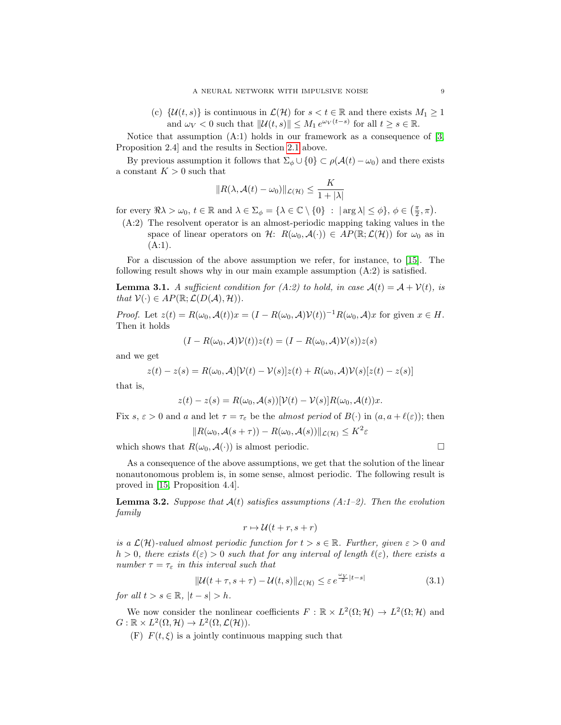(c)  $\{\mathcal{U}(t,s)\}\)$  is continuous in  $\mathcal{L}(\mathcal{H})$  for  $s < t \in \mathbb{R}$  and there exists  $M_1 \geq 1$ and  $\omega_V < 0$  such that  $||\mathcal{U}(t, s)|| \leq M_1 e^{\omega_V (t-s)}$  for all  $t \geq s \in \mathbb{R}$ .

Notice that assumption (A:1) holds in our framework as a consequence of [\[3,](#page-13-0) Proposition 2.4] and the results in Section [2.1](#page-5-1) above.

By previous assumption it follows that  $\Sigma_{\phi} \cup \{0\} \subset \rho(\mathcal{A}(t) - \omega_0)$  and there exists a constant  $K > 0$  such that

$$
||R(\lambda, \mathcal{A}(t) - \omega_0)||_{\mathcal{L}(\mathcal{H})} \le \frac{K}{1 + |\lambda|}
$$

for every  $\Re \lambda > \omega_0$ ,  $t \in \mathbb{R}$  and  $\lambda \in \Sigma_{\phi} = {\lambda \in \mathbb{C} \setminus \{0\}} : |\arg \lambda| \leq \phi$ ,  $\phi \in (\frac{\pi}{2}, \pi)$ .

(A:2) The resolvent operator is an almost-periodic mapping taking values in the space of linear operators on H:  $R(\omega_0, \mathcal{A}(\cdot)) \in AP(\mathbb{R}; \mathcal{L}(\mathcal{H}))$  for  $\omega_0$  as in  $(A:1).$ 

For a discussion of the above assumption we refer, for instance, to [\[15\]](#page-14-12). The following result shows why in our main example assumption (A:2) is satisfied.

**Lemma 3.1.** A sufficient condition for (A:2) to hold, in case  $\mathcal{A}(t) = \mathcal{A} + \mathcal{V}(t)$ , is that  $V(\cdot) \in AP(\mathbb{R}; \mathcal{L}(D(\mathcal{A}), \mathcal{H}))$ .

*Proof.* Let  $z(t) = R(\omega_0, \mathcal{A}(t))x = (I - R(\omega_0, \mathcal{A})V(t))^{-1}R(\omega_0, \mathcal{A})x$  for given  $x \in H$ . Then it holds

$$
(I - R(\omega_0, A)\mathcal{V}(t))z(t) = (I - R(\omega_0, A)\mathcal{V}(s))z(s)
$$

and we get

$$
z(t) - z(s) = R(\omega_0, \mathcal{A})[\mathcal{V}(t) - \mathcal{V}(s)]z(t) + R(\omega_0, \mathcal{A})\mathcal{V}(s)[z(t) - z(s)]
$$

that is,

$$
z(t) - z(s) = R(\omega_0, \mathcal{A}(s))[\mathcal{V}(t) - \mathcal{V}(s)]R(\omega_0, \mathcal{A}(t))x.
$$

Fix s,  $\varepsilon > 0$  and a and let  $\tau = \tau_{\varepsilon}$  be the almost period of  $B(\cdot)$  in  $(a, a + \ell(\varepsilon))$ ; then

$$
||R(\omega_0, \mathcal{A}(s+\tau)) - R(\omega_0, \mathcal{A}(s))||_{\mathcal{L}(\mathcal{H})} \leq K^2 \varepsilon
$$

which shows that  $R(\omega_0, A(\cdot))$  is almost periodic.

As a consequence of the above assumptions, we get that the solution of the linear nonautonomous problem is, in some sense, almost periodic. The following result is proved in [\[15,](#page-14-12) Proposition 4.4].

<span id="page-8-0"></span>**Lemma 3.2.** Suppose that  $A(t)$  satisfies assumptions  $(A:1-2)$ . Then the evolution family

$$
r \mapsto \mathcal{U}(t+r, s+r)
$$

is a  $\mathcal{L}(\mathcal{H})$ -valued almost periodic function for  $t > s \in \mathbb{R}$ . Further, given  $\varepsilon > 0$  and  $h > 0$ , there exists  $\ell(\varepsilon) > 0$  such that for any interval of length  $\ell(\varepsilon)$ , there exists a number  $\tau = \tau_{\varepsilon}$  in this interval such that

<span id="page-8-1"></span>
$$
\|\mathcal{U}(t+\tau,s+\tau) - \mathcal{U}(t,s)\|_{\mathcal{L}(\mathcal{H})} \leq \varepsilon e^{\frac{\omega_V}{2}|t-s|}
$$
\n(3.1)

for all  $t > s \in \mathbb{R}$ ,  $|t - s| > h$ .

We now consider the nonlinear coefficients  $F : \mathbb{R} \times L^2(\Omega; \mathcal{H}) \to L^2(\Omega; \mathcal{H})$  and  $G: \mathbb{R} \times L^2(\Omega, \mathcal{H}) \to L^2(\Omega, \mathcal{L}(\mathcal{H})).$ 

(F)  $F(t, \xi)$  is a jointly continuous mapping such that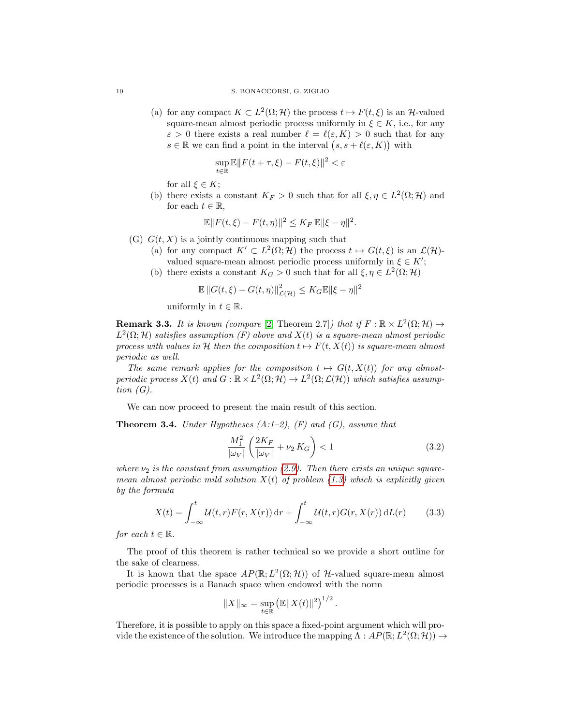(a) for any compact  $K \subset L^2(\Omega; \mathcal{H})$  the process  $t \mapsto F(t, \xi)$  is an H-valued square-mean almost periodic process uniformly in  $\xi \in K$ , i.e., for any  $\varepsilon > 0$  there exists a real number  $\ell = \ell(\varepsilon, K) > 0$  such that for any  $s \in \mathbb{R}$  we can find a point in the interval  $(s, s + \ell(\varepsilon, K))$  with

$$
\sup_{t \in \mathbb{R}} \mathbb{E} \| F(t + \tau, \xi) - F(t, \xi) \|^2 < \varepsilon
$$

for all  $\xi \in K$ ;

(b) there exists a constant  $K_F > 0$  such that for all  $\xi, \eta \in L^2(\Omega; \mathcal{H})$  and for each  $t \in \mathbb{R}$ ,

$$
\mathbb{E} \|F(t,\xi) - F(t,\eta)\|^2 \le K_F \, \mathbb{E} \|\xi - \eta\|^2.
$$

- (G)  $G(t, X)$  is a jointly continuous mapping such that
	- (a) for any compact  $K' \subset L^2(\Omega; \mathcal{H})$  the process  $t \mapsto G(t, \xi)$  is an  $\mathcal{L}(\mathcal{H})$ valued square-mean almost periodic process uniformly in  $\xi \in K'$ ;
	- (b) there exists a constant  $K_G > 0$  such that for all  $\xi, \eta \in L^2(\Omega; \mathcal{H})$

$$
\mathbb{E} \|G(t,\xi) - G(t,\eta)\|_{\mathcal{L}(\mathcal{H})}^2 \le K_G \mathbb{E} \|\xi - \eta\|^2
$$

uniformly in  $t \in \mathbb{R}$ .

<span id="page-9-2"></span>**Remark 3.3.** It is known (compare [\[2,](#page-13-3) Theorem 2.7]) that if  $F : \mathbb{R} \times L^2(\Omega; \mathcal{H}) \to$  $L^2(\Omega; \mathcal{H})$  satisfies assumption (F) above and  $X(t)$  is a square-mean almost periodic process with values in H then the composition  $t \mapsto F(t, X(t))$  is square-mean almost periodic as well.

The same remark applies for the composition  $t \mapsto G(t, X(t))$  for any almostperiodic process  $X(t)$  and  $G : \mathbb{R} \times L^2(\Omega; \mathcal{H}) \to L^2(\Omega; \mathcal{L}(\mathcal{H}))$  which satisfies assumption  $(G)$ .

We can now proceed to present the main result of this section.

<span id="page-9-1"></span>**Theorem 3.4.** Under Hypotheses  $(A:1-2)$ ,  $(F)$  and  $(G)$ , assume that

$$
\frac{M_1^2}{|\omega_V|} \left( \frac{2K_F}{|\omega_V|} + \nu_2 K_G \right) < 1 \tag{3.2}
$$

<span id="page-9-3"></span><span id="page-9-0"></span>.

where  $\nu_2$  is the constant from assumption [\(2.9\)](#page-7-1). Then there exists an unique squaremean almost periodic mild solution  $X(t)$  of problem [\(1.3\)](#page-2-0) which is explicitly given by the formula

$$
X(t) = \int_{-\infty}^{t} \mathcal{U}(t, r) F(r, X(r)) dr + \int_{-\infty}^{t} \mathcal{U}(t, r) G(r, X(r)) dL(r)
$$
 (3.3)

for each  $t \in \mathbb{R}$ .

The proof of this theorem is rather technical so we provide a short outline for the sake of clearness.

It is known that the space  $AP(\mathbb{R}; L^2(\Omega; \mathcal{H}))$  of H-valued square-mean almost periodic processes is a Banach space when endowed with the norm

$$
||X||_{\infty} = \sup_{t \in \mathbb{R}} (\mathbb{E}||X(t)||^2)^{1/2}
$$

Therefore, it is possible to apply on this space a fixed-point argument which will provide the existence of the solution. We introduce the mapping  $\Lambda : AP(\mathbb{R}; L^2(\Omega; \mathcal{H})) \to$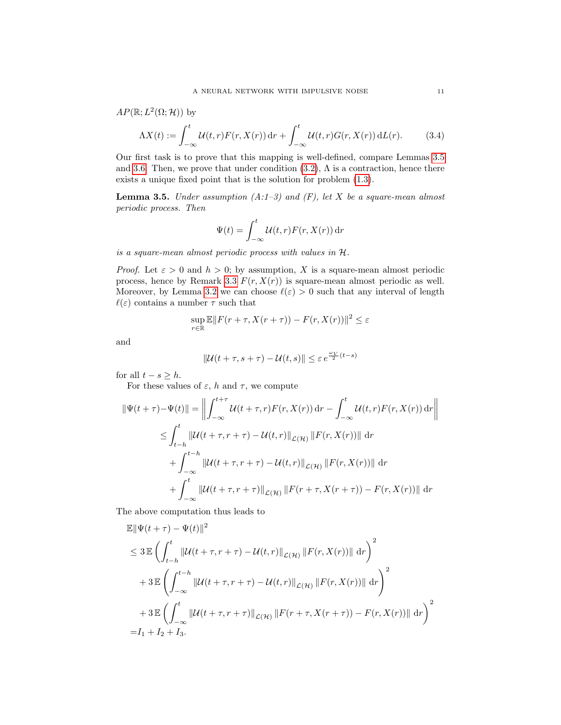$AP(\mathbb{R}; L^2(\Omega; \mathcal{H}))$  by

$$
\Lambda X(t) := \int_{-\infty}^{t} \mathcal{U}(t, r) F(r, X(r)) \, \mathrm{d}r + \int_{-\infty}^{t} \mathcal{U}(t, r) G(r, X(r)) \, \mathrm{d}L(r). \tag{3.4}
$$

Our first task is to prove that this mapping is well-defined, compare Lemmas [3.5](#page-10-0) and [3.6.](#page-11-0) Then, we prove that under condition  $(3.2)$ ,  $\Lambda$  is a contraction, hence there exists a unique fixed point that is the solution for problem [\(1.3\)](#page-2-0).

<span id="page-10-0"></span>**Lemma 3.5.** Under assumption  $(A:1-3)$  and  $(F)$ , let X be a square-mean almost periodic process. Then

<span id="page-10-1"></span>
$$
\Psi(t) = \int_{-\infty}^{t} \mathcal{U}(t, r) F(r, X(r)) dr
$$

is a square-mean almost periodic process with values in H.

*Proof.* Let  $\varepsilon > 0$  and  $h > 0$ ; by assumption, X is a square-mean almost periodic process, hence by Remark [3.3](#page-9-2)  $F(r, X(r))$  is square-mean almost periodic as well. Moreover, by Lemma [3.2](#page-8-0) we can choose  $\ell(\varepsilon) > 0$  such that any interval of length  $\ell(\varepsilon)$  contains a number  $\tau$  such that

$$
\sup_{r \in \mathbb{R}} \mathbb{E} ||F(r + \tau, X(r + \tau)) - F(r, X(r))||^2 \le \varepsilon
$$

and

$$
\|\mathcal{U}(t+\tau,s+\tau)-\mathcal{U}(t,s)\|\leq \varepsilon\,e^{\frac{\omega_V}{2}(t-s)}
$$

for all  $t - s \geq h$ .

For these values of  $\varepsilon$ , h and  $\tau$ , we compute

$$
\|\Psi(t+\tau)-\Psi(t)\| = \left\| \int_{-\infty}^{t+\tau} \mathcal{U}(t+\tau,r) F(r,X(r)) \, dr - \int_{-\infty}^{t} \mathcal{U}(t,r) F(r,X(r)) \, dr \right\|
$$
  
\n
$$
\leq \int_{t-h}^{t} \|\mathcal{U}(t+\tau,r+\tau) - \mathcal{U}(t,r)\|_{\mathcal{L}(\mathcal{H})} \|F(r,X(r))\| \, dr
$$
  
\n
$$
+ \int_{-\infty}^{t-h} \|\mathcal{U}(t+\tau,r+\tau) - \mathcal{U}(t,r)\|_{\mathcal{L}(\mathcal{H})} \|F(r,X(r))\| \, dr
$$
  
\n
$$
+ \int_{-\infty}^{t} \|\mathcal{U}(t+\tau,r+\tau)\|_{\mathcal{L}(\mathcal{H})} \|F(r+\tau,X(r+\tau)) - F(r,X(r))\| \, dr
$$

The above computation thus leads to

 $\sim$ 

$$
\mathbb{E} \|\Psi(t+\tau) - \Psi(t)\|^2
$$
\n
$$
\leq 3 \mathbb{E} \left( \int_{t-h}^t \|\mathcal{U}(t+\tau,r+\tau) - \mathcal{U}(t,r)\|_{\mathcal{L}(\mathcal{H})} \|F(r,X(r))\| \, dr \right)^2
$$
\n
$$
+ 3 \mathbb{E} \left( \int_{-\infty}^{t-h} \|\mathcal{U}(t+\tau,r+\tau) - \mathcal{U}(t,r)\|_{\mathcal{L}(\mathcal{H})} \|F(r,X(r))\| \, dr \right)^2
$$
\n
$$
+ 3 \mathbb{E} \left( \int_{-\infty}^t \|\mathcal{U}(t+\tau,r+\tau)\|_{\mathcal{L}(\mathcal{H})} \|F(r+\tau,X(r+\tau)) - F(r,X(r))\| \, dr \right)^2
$$
\n
$$
= I_1 + I_2 + I_3.
$$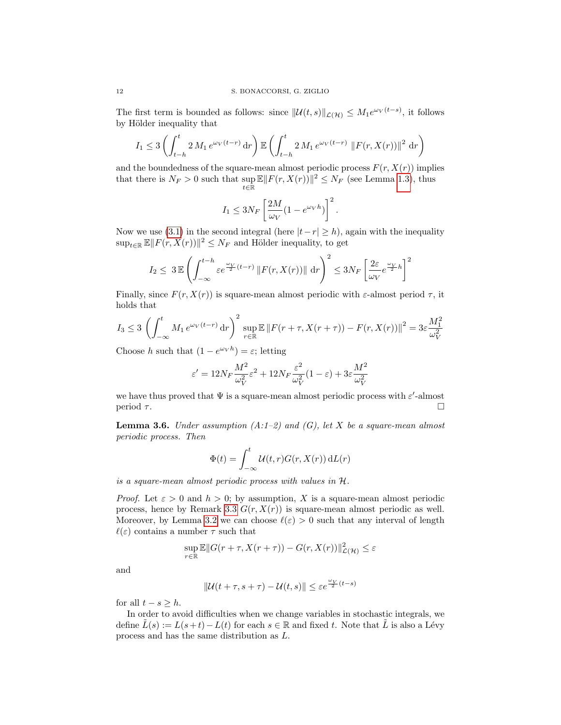The first term is bounded as follows: since  $\|\mathcal{U}(t,s)\|_{\mathcal{L}(\mathcal{H})} \leq M_1 e^{\omega_V(t-s)}$ , it follows by Hölder inequality that

$$
I_1 \le 3 \left( \int_{t-h}^t 2 M_1 e^{\omega_V (t-r)} \, dr \right) \mathbb{E} \left( \int_{t-h}^t 2 M_1 e^{\omega_V (t-r)} \, ||F(r, X(r))||^2 \, dr \right)
$$

and the boundedness of the square-mean almost periodic process  $F(r, X(r))$  implies that there is  $N_F > 0$  such that  $\sup_{t \in \mathbb{R}} \mathbb{E} ||F(r, X(r))||^2 \le N_F$  (see Lemma [1.3\)](#page-2-1), thus

$$
I_1 \leq 3N_F \left[ \frac{2M}{\omega_V} (1 - e^{\omega_V h}) \right]^2.
$$

Now we use [\(3.1\)](#page-8-1) in the second integral (here  $|t-r| \geq h$ ), again with the inequality  $\sup_{t\in\mathbb{R}} \mathbb{E} ||F(r, X(r))||^2 \leq N_F$  and Hölder inequality, to get

$$
I_2 \leq 3 \mathbb{E} \left( \int_{-\infty}^{t-h} \varepsilon e^{\frac{\omega_V}{2}(t-r)} \left\| F(r, X(r)) \right\| \, \mathrm{d}r \right)^2 \leq 3N_F \left[ \frac{2\varepsilon}{\omega_V} e^{\frac{\omega_V}{2} h} \right]^2
$$

Finally, since  $F(r, X(r))$  is square-mean almost periodic with  $\varepsilon$ -almost period  $\tau$ , it holds that

$$
I_3 \le 3 \left( \int_{-\infty}^t M_1 e^{\omega_V (t-r)} \, dr \right)^2 \sup_{r \in \mathbb{R}} \mathbb{E} \left\| F(r+\tau, X(r+\tau)) - F(r, X(r)) \right\|^2 = 3\varepsilon \frac{M_1^2}{\omega_V^2}
$$

Choose h such that  $(1 - e^{\omega_V h}) = \varepsilon$ ; letting

$$
\varepsilon'=12N_F\frac{M^2}{\omega_V^2}\varepsilon^2+12N_F\frac{\varepsilon^2}{\omega_V^2}(1-\varepsilon)+3\varepsilon\frac{M^2}{\omega_V^2}
$$

we have thus proved that  $\Psi$  is a square-mean almost periodic process with  $\varepsilon'$ -almost period  $\tau$ .

<span id="page-11-0"></span>**Lemma 3.6.** Under assumption  $(A:1-2)$  and  $(G)$ , let X be a square-mean almost periodic process. Then

$$
\Phi(t) = \int_{-\infty}^{t} \mathcal{U}(t, r) G(r, X(r)) \, \mathrm{d}L(r)
$$

is a square-mean almost periodic process with values in H.

*Proof.* Let  $\varepsilon > 0$  and  $h > 0$ ; by assumption, X is a square-mean almost periodic process, hence by Remark [3.3](#page-9-2)  $G(r, X(r))$  is square-mean almost periodic as well. Moreover, by Lemma [3.2](#page-8-0) we can choose  $\ell(\varepsilon) > 0$  such that any interval of length  $\ell(\varepsilon)$  contains a number  $\tau$  such that

$$
\sup_{r \in \mathbb{R}} \mathbb{E} ||G(r+\tau,X(r+\tau)) - G(r,X(r))||^2_{\mathcal{L}(\mathcal{H})} \leq \varepsilon
$$

and

$$
\|\mathcal{U}(t+\tau,s+\tau)-\mathcal{U}(t,s)\|\leq \varepsilon e^{\frac{\omega_V}{2}(t-s)}
$$

for all  $t - s \geq h$ .

In order to avoid difficulties when we change variables in stochastic integrals, we define  $\tilde{L}(s) := L(s+t) - L(t)$  for each  $s \in \mathbb{R}$  and fixed t. Note that  $\tilde{L}$  is also a Lévy process and has the same distribution as L.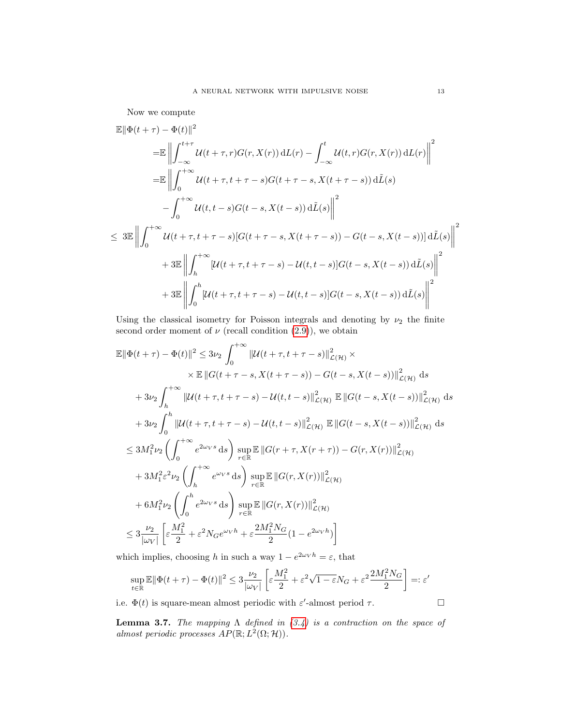Now we compute

$$
\mathbb{E} \|\Phi(t+\tau) - \Phi(t)\|^2
$$
\n
$$
= \mathbb{E} \left\| \int_{-\infty}^{t+\tau} \mathcal{U}(t+\tau, r) G(r, X(r)) \, dL(r) - \int_{-\infty}^t \mathcal{U}(t, r) G(r, X(r)) \, dL(r) \right\|^2
$$
\n
$$
= \mathbb{E} \left\| \int_0^{+\infty} \mathcal{U}(t+\tau, t+\tau-s) G(t+\tau-s, X(t+\tau-s)) \, d\tilde{L}(s) - \int_0^{+\infty} \mathcal{U}(t, t-s) G(t-s, X(t-s)) \, d\tilde{L}(s) \right\|^2
$$
\n
$$
\leq 3 \mathbb{E} \left\| \int_0^{+\infty} \mathcal{U}(t+\tau, t+\tau-s) [G(t+\tau-s, X(t+\tau-s)) - G(t-s, X(t-s))] \, d\tilde{L}(s) \right\|^2
$$
\n
$$
+ 3 \mathbb{E} \left\| \int_h^{+\infty} [\mathcal{U}(t+\tau, t+\tau-s) - \mathcal{U}(t, t-s)] G(t-s, X(t-s)) \, d\tilde{L}(s) \right\|^2
$$
\n
$$
+ 3 \mathbb{E} \left\| \int_0^h [\mathcal{U}(t+\tau, t+\tau-s) - \mathcal{U}(t, t-s)] G(t-s, X(t-s)) \, d\tilde{L}(s) \right\|^2
$$

Using the classical isometry for Poisson integrals and denoting by  $\nu_2$  the finite second order moment of  $\nu$  (recall condition [\(2.9\)](#page-7-1)), we obtain

$$
\mathbb{E} \|\Phi(t+\tau) - \Phi(t)\|^2 \le 3\nu_2 \int_0^{+\infty} \|\mathcal{U}(t+\tau, t+\tau-s)\|^2_{\mathcal{L}(\mathcal{H})} \times \times \mathbb{E} \|G(t+\tau-s, X(t+\tau-s)) - G(t-s, X(t-s))\|^2_{\mathcal{L}(\mathcal{H})} ds \n+ 3\nu_2 \int_h^{+\infty} \|\mathcal{U}(t+\tau, t+\tau-s) - \mathcal{U}(t, t-s)\|^2_{\mathcal{L}(\mathcal{H})} \mathbb{E} \|G(t-s, X(t-s))\|^2_{\mathcal{L}(\mathcal{H})} ds \n+ 3\nu_2 \int_0^h \|\mathcal{U}(t+\tau, t+\tau-s) - \mathcal{U}(t, t-s)\|^2_{\mathcal{L}(\mathcal{H})} \mathbb{E} \|G(t-s, X(t-s))\|^2_{\mathcal{L}(\mathcal{H})} ds \n\le 3M_1^2 \nu_2 \left( \int_0^{+\infty} e^{2\omega_V s} ds \right) \sup_{r \in \mathbb{R}} \mathbb{E} \|G(r+\tau, X(r+\tau)) - G(r, X(r))\|^2_{\mathcal{L}(\mathcal{H})} \n+ 3M_1^2 \varepsilon^2 \nu_2 \left( \int_h^{+\infty} e^{\omega_V s} ds \right) \sup_{r \in \mathbb{R}} \mathbb{E} \|G(r, X(r))\|^2_{\mathcal{L}(\mathcal{H})} \n+ 6M_1^2 \nu_2 \left( \int_0^h e^{2\omega_V s} ds \right) \sup_{r \in \mathbb{R}} \mathbb{E} \|G(r, X(r))\|^2_{\mathcal{L}(\mathcal{H})} \n\le 3 \frac{\nu_2}{|\omega_V|} \left[ \varepsilon \frac{M_1^2}{2} + \varepsilon^2 N_G e^{\omega_V h} + \varepsilon \frac{2M_1^2 N_G}{2} (1 - e^{2\omega_V h}) \right]
$$

which implies, choosing h in such a way  $1 - e^{2\omega_V h} = \varepsilon$ , that

$$
\sup_{t \in \mathbb{R}} \mathbb{E} \|\Phi(t+\tau) - \Phi(t)\|^2 \le 3 \frac{\nu_2}{|\omega_V|} \left[ \varepsilon \frac{M_1^2}{2} + \varepsilon^2 \sqrt{1-\varepsilon} N_G + \varepsilon^2 \frac{2M_1^2 N_G}{2} \right] =: \varepsilon'
$$

i.e.  $\Phi(t)$  is square-mean almost periodic with  $\varepsilon'$ -almost period  $\tau$ .

**Lemma 3.7.** The mapping  $\Lambda$  defined in  $(3.4)$  is a contraction on the space of almost periodic processes  $AP(\mathbb{R}; L^2(\Omega; \mathcal{H}))$ .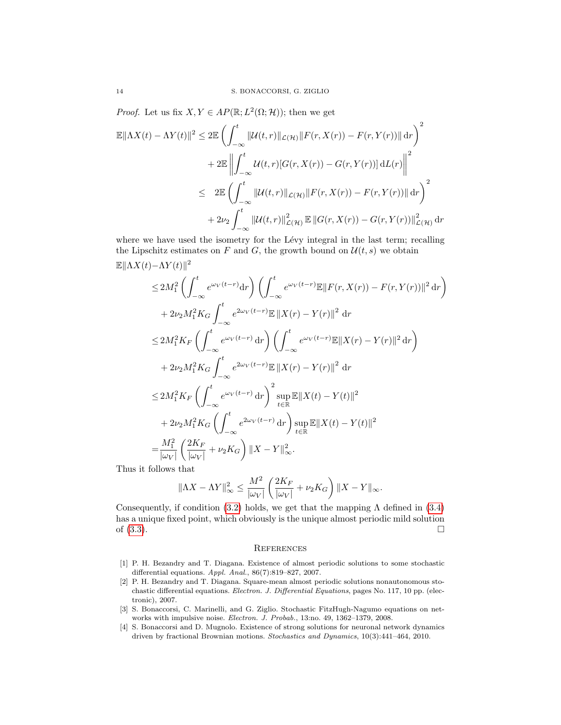*Proof.* Let us fix  $X, Y \in AP(\mathbb{R}; L^2(\Omega; \mathcal{H}))$ ; then we get

$$
\mathbb{E}||\Lambda X(t) - \Lambda Y(t)||^2 \leq 2\mathbb{E}\left(\int_{-\infty}^t ||\mathcal{U}(t,r)||_{\mathcal{L}(\mathcal{H})}||F(r,X(r)) - F(r,Y(r))|| \,dr\right)^2
$$

$$
+ 2\mathbb{E}\left\|\int_{-\infty}^t \mathcal{U}(t,r)[G(r,X(r)) - G(r,Y(r))] \,dL(r)\right\|^2
$$

$$
\leq 2\mathbb{E}\left(\int_{-\infty}^t ||\mathcal{U}(t,r)||_{\mathcal{L}(\mathcal{H})}||F(r,X(r)) - F(r,Y(r))|| \,dr\right)^2
$$

$$
+ 2\nu_2 \int_{-\infty}^t ||\mathcal{U}(t,r)||_{\mathcal{L}(\mathcal{H})}^2 \mathbb{E}||G(r,X(r)) - G(r,Y(r))||_{\mathcal{L}(\mathcal{H})}^2 \,dr
$$

where we have used the isometry for the Lévy integral in the last term; recalling the Lipschitz estimates on F and G, the growth bound on  $\mathcal{U}(t, s)$  we obtain

$$
\mathbb{E}||\Lambda X(t) - \Lambda Y(t)||^2
$$
  
\n
$$
\leq 2M_1^2 \left( \int_{-\infty}^t e^{\omega_V(t-r)} dr \right) \left( \int_{-\infty}^t e^{\omega_V(t-r)} \mathbb{E} ||F(r, X(r)) - F(r, Y(r))||^2 dr \right)
$$
  
\n
$$
+ 2\nu_2 M_1^2 K_G \int_{-\infty}^t e^{2\omega_V(t-r)} \mathbb{E} ||X(r) - Y(r)||^2 dr
$$
  
\n
$$
\leq 2M_1^2 K_F \left( \int_{-\infty}^t e^{\omega_V(t-r)} dr \right) \left( \int_{-\infty}^t e^{\omega_V(t-r)} \mathbb{E} ||X(r) - Y(r)||^2 dr \right)
$$
  
\n
$$
+ 2\nu_2 M_1^2 K_G \int_{-\infty}^t e^{2\omega_V(t-r)} \mathbb{E} ||X(r) - Y(r)||^2 dr
$$
  
\n
$$
\leq 2M_1^2 K_F \left( \int_{-\infty}^t e^{\omega_V(t-r)} dr \right)^2 \sup_{t \in \mathbb{R}} \mathbb{E} ||X(t) - Y(t)||^2
$$
  
\n
$$
+ 2\nu_2 M_1^2 K_G \left( \int_{-\infty}^t e^{2\omega_V(t-r)} dr \right) \sup_{t \in \mathbb{R}} \mathbb{E} ||X(t) - Y(t)||^2
$$
  
\n
$$
= \frac{M_1^2}{|\omega_V|} \left( \frac{2K_F}{|\omega_V|} + \nu_2 K_G \right) ||X - Y||_{\infty}^2.
$$

Thus it follows that

$$
\|\Lambda X - \Lambda Y\|_{\infty}^2 \le \frac{M^2}{|\omega_V|} \left(\frac{2K_F}{|\omega_V|} + \nu_2 K_G\right) \|X - Y\|_{\infty}.
$$

Consequently, if condition [\(3.2\)](#page-9-0) holds, we get that the mapping  $\Lambda$  defined in [\(3.4\)](#page-10-1) has a unique fixed point, which obviously is the unique almost periodic mild solution of  $(3.3)$ .

# **REFERENCES**

- <span id="page-13-2"></span>[1] P. H. Bezandry and T. Diagana. Existence of almost periodic solutions to some stochastic differential equations. Appl. Anal., 86(7):819–827, 2007.
- <span id="page-13-3"></span>[2] P. H. Bezandry and T. Diagana. Square-mean almost periodic solutions nonautonomous stochastic differential equations. Electron. J. Differential Equations, pages No. 117, 10 pp. (electronic), 2007.
- <span id="page-13-0"></span>[3] S. Bonaccorsi, C. Marinelli, and G. Ziglio. Stochastic FitzHugh-Nagumo equations on networks with impulsive noise. Electron. J. Probab., 13:no. 49, 1362-1379, 2008.
- <span id="page-13-1"></span>[4] S. Bonaccorsi and D. Mugnolo. Existence of strong solutions for neuronal network dynamics driven by fractional Brownian motions. Stochastics and Dynamics, 10(3):441–464, 2010.